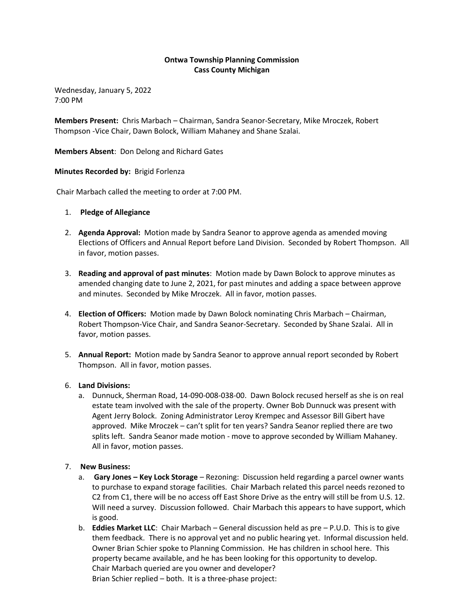# **Ontwa Township Planning Commission Cass County Michigan**

Wednesday, January 5, 2022 7:00 PM

**Members Present:** Chris Marbach – Chairman, Sandra Seanor-Secretary, Mike Mroczek, Robert Thompson -Vice Chair, Dawn Bolock, William Mahaney and Shane Szalai.

**Members Absent**: Don Delong and Richard Gates

### **Minutes Recorded by:** Brigid Forlenza

Chair Marbach called the meeting to order at 7:00 PM.

- 1. **Pledge of Allegiance**
- 2. **Agenda Approval:** Motion made by Sandra Seanor to approve agenda as amended moving Elections of Officers and Annual Report before Land Division. Seconded by Robert Thompson. All in favor, motion passes.
- 3. **Reading and approval of past minutes**: Motion made by Dawn Bolock to approve minutes as amended changing date to June 2, 2021, for past minutes and adding a space between approve and minutes. Seconded by Mike Mroczek. All in favor, motion passes.
- 4. **Election of Officers:** Motion made by Dawn Bolock nominating Chris Marbach Chairman, Robert Thompson-Vice Chair, and Sandra Seanor-Secretary. Seconded by Shane Szalai. All in favor, motion passes.
- 5. **Annual Report:** Motion made by Sandra Seanor to approve annual report seconded by Robert Thompson. All in favor, motion passes.
- 6. **Land Divisions:**
	- a. Dunnuck, Sherman Road, 14-090-008-038-00. Dawn Bolock recused herself as she is on real estate team involved with the sale of the property. Owner Bob Dunnuck was present with Agent Jerry Bolock. Zoning Administrator Leroy Krempec and Assessor Bill Gibert have approved. Mike Mroczek – can't split for ten years? Sandra Seanor replied there are two splits left. Sandra Seanor made motion - move to approve seconded by William Mahaney. All in favor, motion passes.

## 7. **New Business:**

- a. **Gary Jones – Key Lock Storage** Rezoning: Discussion held regarding a parcel owner wants to purchase to expand storage facilities. Chair Marbach related this parcel needs rezoned to C2 from C1, there will be no access off East Shore Drive as the entry will still be from U.S. 12. Will need a survey. Discussion followed. Chair Marbach this appears to have support, which is good.
- b. **Eddies Market LLC**: Chair Marbach General discussion held as pre P.U.D. This is to give them feedback. There is no approval yet and no public hearing yet. Informal discussion held. Owner Brian Schier spoke to Planning Commission. He has children in school here. This property became available, and he has been looking for this opportunity to develop. Chair Marbach queried are you owner and developer? Brian Schier replied – both. It is a three-phase project: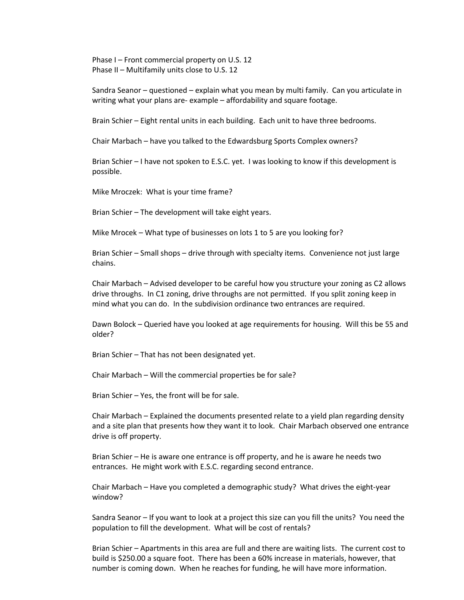Phase I – Front commercial property on U.S. 12 Phase II – Multifamily units close to U.S. 12

Sandra Seanor – questioned – explain what you mean by multi family. Can you articulate in writing what your plans are- example – affordability and square footage.

Brain Schier – Eight rental units in each building. Each unit to have three bedrooms.

Chair Marbach – have you talked to the Edwardsburg Sports Complex owners?

Brian Schier – I have not spoken to E.S.C. yet. I was looking to know if this development is possible.

Mike Mroczek: What is your time frame?

Brian Schier – The development will take eight years.

Mike Mrocek – What type of businesses on lots 1 to 5 are you looking for?

Brian Schier – Small shops – drive through with specialty items. Convenience not just large chains.

Chair Marbach – Advised developer to be careful how you structure your zoning as C2 allows drive throughs. In C1 zoning, drive throughs are not permitted. If you split zoning keep in mind what you can do. In the subdivision ordinance two entrances are required.

Dawn Bolock – Queried have you looked at age requirements for housing. Will this be 55 and older?

Brian Schier – That has not been designated yet.

Chair Marbach – Will the commercial properties be for sale?

Brian Schier – Yes, the front will be for sale.

Chair Marbach – Explained the documents presented relate to a yield plan regarding density and a site plan that presents how they want it to look. Chair Marbach observed one entrance drive is off property.

Brian Schier – He is aware one entrance is off property, and he is aware he needs two entrances. He might work with E.S.C. regarding second entrance.

Chair Marbach – Have you completed a demographic study? What drives the eight-year window?

Sandra Seanor – If you want to look at a project this size can you fill the units? You need the population to fill the development. What will be cost of rentals?

Brian Schier – Apartments in this area are full and there are waiting lists. The current cost to build is \$250.00 a square foot. There has been a 60% increase in materials, however, that number is coming down. When he reaches for funding, he will have more information.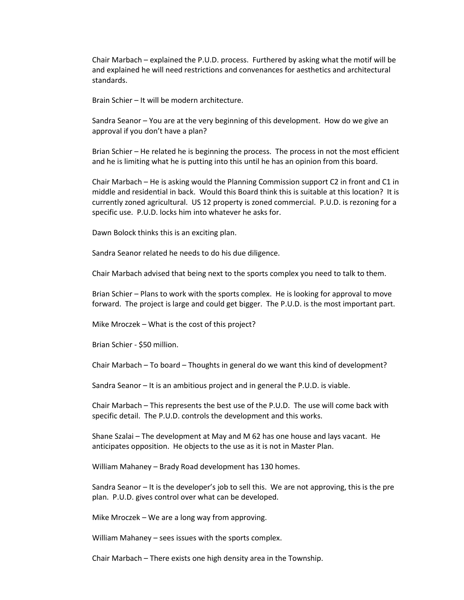Chair Marbach – explained the P.U.D. process. Furthered by asking what the motif will be and explained he will need restrictions and convenances for aesthetics and architectural standards.

Brain Schier – It will be modern architecture.

Sandra Seanor – You are at the very beginning of this development. How do we give an approval if you don't have a plan?

Brian Schier – He related he is beginning the process. The process in not the most efficient and he is limiting what he is putting into this until he has an opinion from this board.

Chair Marbach – He is asking would the Planning Commission support C2 in front and C1 in middle and residential in back. Would this Board think this is suitable at this location? It is currently zoned agricultural. US 12 property is zoned commercial. P.U.D. is rezoning for a specific use. P.U.D. locks him into whatever he asks for.

Dawn Bolock thinks this is an exciting plan.

Sandra Seanor related he needs to do his due diligence.

Chair Marbach advised that being next to the sports complex you need to talk to them.

Brian Schier – Plans to work with the sports complex. He is looking for approval to move forward. The project is large and could get bigger. The P.U.D. is the most important part.

Mike Mroczek – What is the cost of this project?

Brian Schier - \$50 million.

Chair Marbach – To board – Thoughts in general do we want this kind of development?

Sandra Seanor – It is an ambitious project and in general the P.U.D. is viable.

Chair Marbach – This represents the best use of the P.U.D. The use will come back with specific detail. The P.U.D. controls the development and this works.

Shane Szalai – The development at May and M 62 has one house and lays vacant. He anticipates opposition. He objects to the use as it is not in Master Plan.

William Mahaney – Brady Road development has 130 homes.

Sandra Seanor – It is the developer's job to sell this. We are not approving, this is the pre plan. P.U.D. gives control over what can be developed.

Mike Mroczek – We are a long way from approving.

William Mahaney – sees issues with the sports complex.

Chair Marbach – There exists one high density area in the Township.